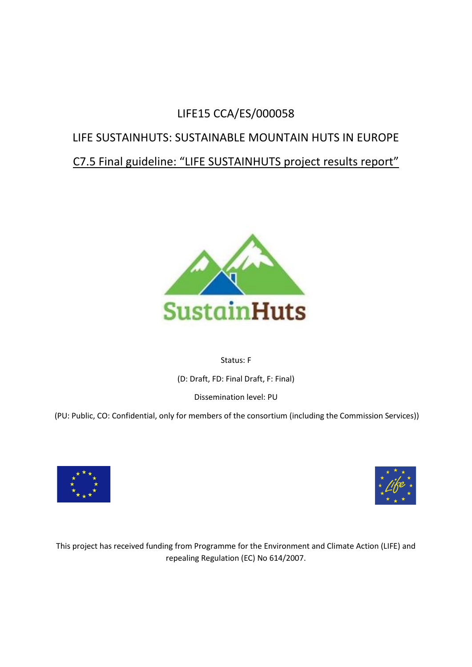# LIFE15 CCA/ES/000058

# LIFE SUSTAINHUTS: SUSTAINABLE MOUNTAIN HUTS IN EUROPE

# C7.5 Final guideline: "LIFE SUSTAINHUTS project results report"



# Status: F

(D: Draft, FD: Final Draft, F: Final)

Dissemination level: PU

(PU: Public, CO: Confidential, only for members of the consortium (including the Commission Services))





This project has received funding from Programme for the Environment and Climate Action (LIFE) and repealing Regulation (EC) No 614/2007.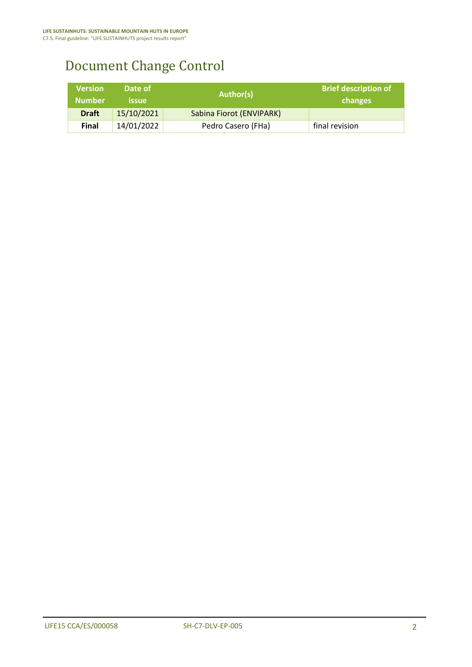# Document Change Control

| <b>Version</b><br><b>Number</b> | Date of<br><b>issue</b> | Author(s)                | <b>Brief description of</b><br>changes |
|---------------------------------|-------------------------|--------------------------|----------------------------------------|
| <b>Draft</b>                    | 15/10/2021              | Sabina Fiorot (ENVIPARK) |                                        |
| Final                           | 14/01/2022              | Pedro Casero (FHa)       | final revision                         |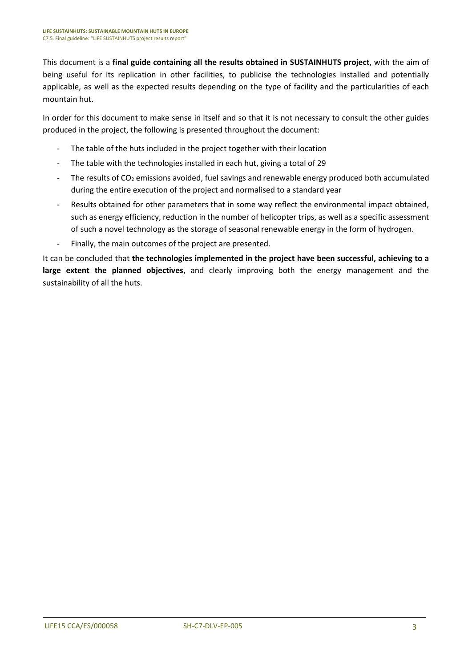This document is a **final guide containing all the results obtained in SUSTAINHUTS project**, with the aim of being useful for its replication in other facilities, to publicise the technologies installed and potentially applicable, as well as the expected results depending on the type of facility and the particularities of each mountain hut.

In order for this document to make sense in itself and so that it is not necessary to consult the other guides produced in the project, the following is presented throughout the document:

- The table of the huts included in the project together with their location
- The table with the technologies installed in each hut, giving a total of 29
- The results of  $CO<sub>2</sub>$  emissions avoided, fuel savings and renewable energy produced both accumulated during the entire execution of the project and normalised to a standard year
- Results obtained for other parameters that in some way reflect the environmental impact obtained, such as energy efficiency, reduction in the number of helicopter trips, as well as a specific assessment of such a novel technology as the storage of seasonal renewable energy in the form of hydrogen.
- Finally, the main outcomes of the project are presented.

It can be concluded that **the technologies implemented in the project have been successful, achieving to a large extent the planned objectives**, and clearly improving both the energy management and the sustainability of all the huts.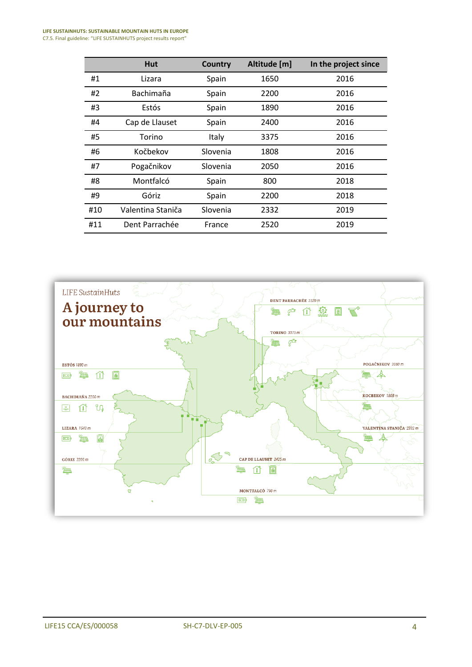#### **LIFE SUSTAINHUTS: SUSTAINABLE MOUNTAIN HUTS IN EUROPE** C7.5. Final guideline: "LIFE SUSTAINHUTS project results report"

|     | Hut               | <b>Country</b> | Altitude [m] | In the project since |
|-----|-------------------|----------------|--------------|----------------------|
| #1  | Lizara            | Spain          | 1650         | 2016                 |
| #2  | Bachimaña         | Spain          | 2200         | 2016                 |
| #3  | Estós             | Spain          | 1890         | 2016                 |
| #4  | Cap de Llauset    | Spain          | 2400         | 2016                 |
| #5  | Torino            | Italy          | 3375         | 2016                 |
| #6  | Kočbekov          | Slovenia       | 1808         | 2016                 |
| #7  | Pogačnikov        | Slovenia       | 2050         | 2016                 |
| #8  | Montfalcó         | Spain          | 800          | 2018                 |
| #9  | Góriz             | Spain          | 2200         | 2018                 |
| #10 | Valentina Staniča | Slovenia       | 2332         | 2019                 |
| #11 | Dent Parrachée    | France         | 2520         | 2019                 |

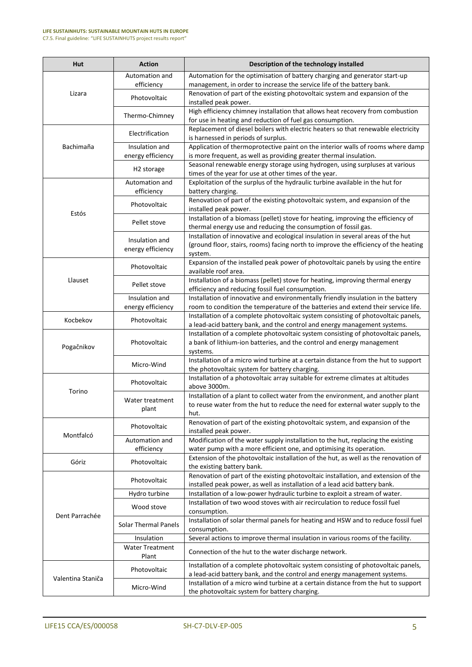#### **LIFE SUSTAINHUTS: SUSTAINABLE MOUNTAIN HUTS IN EUROPE** C7.5. Final guideline: "LIFE SUSTAINHUTS project results report"

| Hut               | <b>Action</b>                                                                                                                                                                                                                                                                                                                                                                                                                                                                                                                                                                                                                                                                                                                                                                                                                                                                                                                                                                                                                                                                                                                                                                                                                     | Description of the technology installed                                                                                                             |
|-------------------|-----------------------------------------------------------------------------------------------------------------------------------------------------------------------------------------------------------------------------------------------------------------------------------------------------------------------------------------------------------------------------------------------------------------------------------------------------------------------------------------------------------------------------------------------------------------------------------------------------------------------------------------------------------------------------------------------------------------------------------------------------------------------------------------------------------------------------------------------------------------------------------------------------------------------------------------------------------------------------------------------------------------------------------------------------------------------------------------------------------------------------------------------------------------------------------------------------------------------------------|-----------------------------------------------------------------------------------------------------------------------------------------------------|
|                   | Automation and                                                                                                                                                                                                                                                                                                                                                                                                                                                                                                                                                                                                                                                                                                                                                                                                                                                                                                                                                                                                                                                                                                                                                                                                                    | Automation for the optimisation of battery charging and generator start-up                                                                          |
|                   |                                                                                                                                                                                                                                                                                                                                                                                                                                                                                                                                                                                                                                                                                                                                                                                                                                                                                                                                                                                                                                                                                                                                                                                                                                   | management, in order to increase the service life of the battery bank.                                                                              |
| Lizara            | Photovoltaic                                                                                                                                                                                                                                                                                                                                                                                                                                                                                                                                                                                                                                                                                                                                                                                                                                                                                                                                                                                                                                                                                                                                                                                                                      | Renovation of part of the existing photovoltaic system and expansion of the<br>installed peak power.                                                |
|                   | Thermo-Chimney                                                                                                                                                                                                                                                                                                                                                                                                                                                                                                                                                                                                                                                                                                                                                                                                                                                                                                                                                                                                                                                                                                                                                                                                                    | High efficiency chimney installation that allows heat recovery from combustion                                                                      |
|                   | Electrification                                                                                                                                                                                                                                                                                                                                                                                                                                                                                                                                                                                                                                                                                                                                                                                                                                                                                                                                                                                                                                                                                                                                                                                                                   | Replacement of diesel boilers with electric heaters so that renewable electricity                                                                   |
| Bachimaña         |                                                                                                                                                                                                                                                                                                                                                                                                                                                                                                                                                                                                                                                                                                                                                                                                                                                                                                                                                                                                                                                                                                                                                                                                                                   | Application of thermoprotective paint on the interior walls of rooms where damp                                                                     |
|                   |                                                                                                                                                                                                                                                                                                                                                                                                                                                                                                                                                                                                                                                                                                                                                                                                                                                                                                                                                                                                                                                                                                                                                                                                                                   | is more frequent, as well as providing greater thermal insulation.                                                                                  |
|                   |                                                                                                                                                                                                                                                                                                                                                                                                                                                                                                                                                                                                                                                                                                                                                                                                                                                                                                                                                                                                                                                                                                                                                                                                                                   | Seasonal renewable energy storage using hydrogen, using surpluses at various                                                                        |
|                   |                                                                                                                                                                                                                                                                                                                                                                                                                                                                                                                                                                                                                                                                                                                                                                                                                                                                                                                                                                                                                                                                                                                                                                                                                                   | times of the year for use at other times of the year.                                                                                               |
|                   | Automation and<br>efficiency                                                                                                                                                                                                                                                                                                                                                                                                                                                                                                                                                                                                                                                                                                                                                                                                                                                                                                                                                                                                                                                                                                                                                                                                      | Exploitation of the surplus of the hydraulic turbine available in the hut for<br>battery charging.                                                  |
|                   | Photovoltaic                                                                                                                                                                                                                                                                                                                                                                                                                                                                                                                                                                                                                                                                                                                                                                                                                                                                                                                                                                                                                                                                                                                                                                                                                      | Renovation of part of the existing photovoltaic system, and expansion of the                                                                        |
| Estós             | Pellet stove                                                                                                                                                                                                                                                                                                                                                                                                                                                                                                                                                                                                                                                                                                                                                                                                                                                                                                                                                                                                                                                                                                                                                                                                                      | Installation of a biomass (pellet) stove for heating, improving the efficiency of<br>thermal energy use and reducing the consumption of fossil gas. |
|                   |                                                                                                                                                                                                                                                                                                                                                                                                                                                                                                                                                                                                                                                                                                                                                                                                                                                                                                                                                                                                                                                                                                                                                                                                                                   | Installation of innovative and ecological insulation in several areas of the hut                                                                    |
|                   | energy efficiency                                                                                                                                                                                                                                                                                                                                                                                                                                                                                                                                                                                                                                                                                                                                                                                                                                                                                                                                                                                                                                                                                                                                                                                                                 | (ground floor, stairs, rooms) facing north to improve the efficiency of the heating<br>system.                                                      |
|                   | Photovoltaic                                                                                                                                                                                                                                                                                                                                                                                                                                                                                                                                                                                                                                                                                                                                                                                                                                                                                                                                                                                                                                                                                                                                                                                                                      | Expansion of the installed peak power of photovoltaic panels by using the entire<br>available roof area.                                            |
| Llauset           | Pellet stove                                                                                                                                                                                                                                                                                                                                                                                                                                                                                                                                                                                                                                                                                                                                                                                                                                                                                                                                                                                                                                                                                                                                                                                                                      | Installation of a biomass (pellet) stove for heating, improving thermal energy                                                                      |
|                   | Insulation and                                                                                                                                                                                                                                                                                                                                                                                                                                                                                                                                                                                                                                                                                                                                                                                                                                                                                                                                                                                                                                                                                                                                                                                                                    | Installation of innovative and environmentally friendly insulation in the battery                                                                   |
|                   | energy efficiency                                                                                                                                                                                                                                                                                                                                                                                                                                                                                                                                                                                                                                                                                                                                                                                                                                                                                                                                                                                                                                                                                                                                                                                                                 | room to condition the temperature of the batteries and extend their service life.                                                                   |
| Kocbekov          |                                                                                                                                                                                                                                                                                                                                                                                                                                                                                                                                                                                                                                                                                                                                                                                                                                                                                                                                                                                                                                                                                                                                                                                                                                   | Installation of a complete photovoltaic system consisting of photovoltaic panels,                                                                   |
|                   |                                                                                                                                                                                                                                                                                                                                                                                                                                                                                                                                                                                                                                                                                                                                                                                                                                                                                                                                                                                                                                                                                                                                                                                                                                   | a lead-acid battery bank, and the control and energy management systems.                                                                            |
|                   |                                                                                                                                                                                                                                                                                                                                                                                                                                                                                                                                                                                                                                                                                                                                                                                                                                                                                                                                                                                                                                                                                                                                                                                                                                   | Installation of a complete photovoltaic system consisting of photovoltaic panels,                                                                   |
| Pogačnikov        | efficiency<br>for use in heating and reduction of fuel gas consumption.<br>is harnessed in periods of surplus.<br>Insulation and<br>energy efficiency<br>H <sub>2</sub> storage<br>installed peak power.<br>Insulation and<br>efficiency and reducing fossil fuel consumption.<br>Photovoltaic<br>Photovoltaic<br>a bank of lithium-ion batteries, and the control and energy management<br>systems.<br>Micro-Wind<br>the photovoltaic system for battery charging.<br>Photovoltaic<br>above 3000m.<br>Water treatment<br>plant<br>hut.<br>Renovation of part of the existing photovoltaic system, and expansion of the<br>Photovoltaic<br>installed peak power.<br>Automation and<br>efficiency<br>Photovoltaic<br>the existing battery bank.<br>Renovation of part of the existing photovoltaic installation, and extension of the<br>Photovoltaic<br>Hydro turbine<br>Wood stove<br>consumption.<br><b>Solar Thermal Panels</b><br>consumption.<br>Insulation<br><b>Water Treatment</b><br>Connection of the hut to the water discharge network.<br>Plant<br>Photovoltaic<br>Installation of a micro wind turbine at a certain distance from the hut to support<br>Micro-Wind<br>the photovoltaic system for battery charging. |                                                                                                                                                     |
|                   |                                                                                                                                                                                                                                                                                                                                                                                                                                                                                                                                                                                                                                                                                                                                                                                                                                                                                                                                                                                                                                                                                                                                                                                                                                   | Installation of a micro wind turbine at a certain distance from the hut to support                                                                  |
|                   |                                                                                                                                                                                                                                                                                                                                                                                                                                                                                                                                                                                                                                                                                                                                                                                                                                                                                                                                                                                                                                                                                                                                                                                                                                   |                                                                                                                                                     |
|                   |                                                                                                                                                                                                                                                                                                                                                                                                                                                                                                                                                                                                                                                                                                                                                                                                                                                                                                                                                                                                                                                                                                                                                                                                                                   | Installation of a photovoltaic array suitable for extreme climates at altitudes                                                                     |
| Torino            |                                                                                                                                                                                                                                                                                                                                                                                                                                                                                                                                                                                                                                                                                                                                                                                                                                                                                                                                                                                                                                                                                                                                                                                                                                   |                                                                                                                                                     |
|                   |                                                                                                                                                                                                                                                                                                                                                                                                                                                                                                                                                                                                                                                                                                                                                                                                                                                                                                                                                                                                                                                                                                                                                                                                                                   | Installation of a plant to collect water from the environment, and another plant                                                                    |
|                   |                                                                                                                                                                                                                                                                                                                                                                                                                                                                                                                                                                                                                                                                                                                                                                                                                                                                                                                                                                                                                                                                                                                                                                                                                                   | to reuse water from the hut to reduce the need for external water supply to the                                                                     |
|                   |                                                                                                                                                                                                                                                                                                                                                                                                                                                                                                                                                                                                                                                                                                                                                                                                                                                                                                                                                                                                                                                                                                                                                                                                                                   |                                                                                                                                                     |
| Montfalcó         |                                                                                                                                                                                                                                                                                                                                                                                                                                                                                                                                                                                                                                                                                                                                                                                                                                                                                                                                                                                                                                                                                                                                                                                                                                   |                                                                                                                                                     |
|                   |                                                                                                                                                                                                                                                                                                                                                                                                                                                                                                                                                                                                                                                                                                                                                                                                                                                                                                                                                                                                                                                                                                                                                                                                                                   | Modification of the water supply installation to the hut, replacing the existing                                                                    |
|                   |                                                                                                                                                                                                                                                                                                                                                                                                                                                                                                                                                                                                                                                                                                                                                                                                                                                                                                                                                                                                                                                                                                                                                                                                                                   | water pump with a more efficient one, and optimising its operation.                                                                                 |
| Góriz             |                                                                                                                                                                                                                                                                                                                                                                                                                                                                                                                                                                                                                                                                                                                                                                                                                                                                                                                                                                                                                                                                                                                                                                                                                                   | Extension of the photovoltaic installation of the hut, as well as the renovation of                                                                 |
|                   |                                                                                                                                                                                                                                                                                                                                                                                                                                                                                                                                                                                                                                                                                                                                                                                                                                                                                                                                                                                                                                                                                                                                                                                                                                   |                                                                                                                                                     |
|                   |                                                                                                                                                                                                                                                                                                                                                                                                                                                                                                                                                                                                                                                                                                                                                                                                                                                                                                                                                                                                                                                                                                                                                                                                                                   | installed peak power, as well as installation of a lead acid battery bank.                                                                          |
|                   |                                                                                                                                                                                                                                                                                                                                                                                                                                                                                                                                                                                                                                                                                                                                                                                                                                                                                                                                                                                                                                                                                                                                                                                                                                   | Installation of a low-power hydraulic turbine to exploit a stream of water.                                                                         |
|                   |                                                                                                                                                                                                                                                                                                                                                                                                                                                                                                                                                                                                                                                                                                                                                                                                                                                                                                                                                                                                                                                                                                                                                                                                                                   | Installation of two wood stoves with air recirculation to reduce fossil fuel                                                                        |
| Dent Parrachée    |                                                                                                                                                                                                                                                                                                                                                                                                                                                                                                                                                                                                                                                                                                                                                                                                                                                                                                                                                                                                                                                                                                                                                                                                                                   |                                                                                                                                                     |
|                   |                                                                                                                                                                                                                                                                                                                                                                                                                                                                                                                                                                                                                                                                                                                                                                                                                                                                                                                                                                                                                                                                                                                                                                                                                                   | Installation of solar thermal panels for heating and HSW and to reduce fossil fuel                                                                  |
|                   |                                                                                                                                                                                                                                                                                                                                                                                                                                                                                                                                                                                                                                                                                                                                                                                                                                                                                                                                                                                                                                                                                                                                                                                                                                   | Several actions to improve thermal insulation in various rooms of the facility.                                                                     |
|                   |                                                                                                                                                                                                                                                                                                                                                                                                                                                                                                                                                                                                                                                                                                                                                                                                                                                                                                                                                                                                                                                                                                                                                                                                                                   |                                                                                                                                                     |
|                   |                                                                                                                                                                                                                                                                                                                                                                                                                                                                                                                                                                                                                                                                                                                                                                                                                                                                                                                                                                                                                                                                                                                                                                                                                                   | Installation of a complete photovoltaic system consisting of photovoltaic panels,                                                                   |
| Valentina Staniča |                                                                                                                                                                                                                                                                                                                                                                                                                                                                                                                                                                                                                                                                                                                                                                                                                                                                                                                                                                                                                                                                                                                                                                                                                                   | a lead-acid battery bank, and the control and energy management systems.                                                                            |
|                   |                                                                                                                                                                                                                                                                                                                                                                                                                                                                                                                                                                                                                                                                                                                                                                                                                                                                                                                                                                                                                                                                                                                                                                                                                                   |                                                                                                                                                     |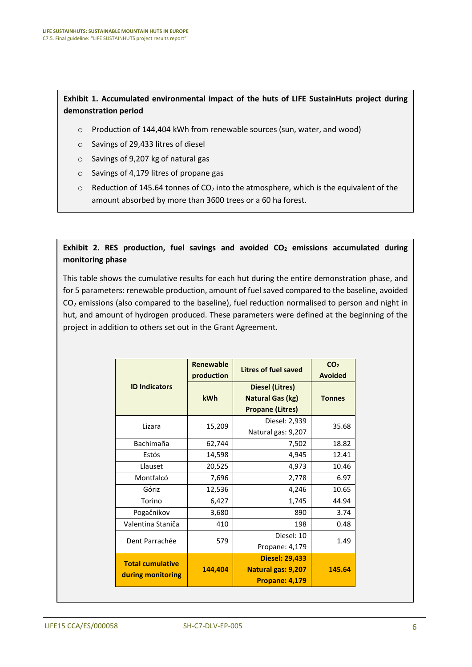## **Exhibit 1. Accumulated environmental impact of the huts of LIFE SustainHuts project during demonstration period**

- o Production of 144,404 kWh from renewable sources (sun, water, and wood)
- o Savings of 29,433 litres of diesel
- o Savings of 9,207 kg of natural gas
- o Savings of 4,179 litres of propane gas
- $\circ$  Reduction of 145.64 tonnes of CO<sub>2</sub> into the atmosphere, which is the equivalent of the amount absorbed by more than 3600 trees or a 60 ha forest.

**Exhibit 2. RES production, fuel savings and avoided CO<sup>2</sup> emissions accumulated during monitoring phase**

This table shows the cumulative results for each hut during the entire demonstration phase, and for 5 parameters: renewable production, amount of fuel saved compared to the baseline, avoided  $CO<sub>2</sub>$  emissions (also compared to the baseline), fuel reduction normalised to person and night in hut, and amount of hydrogen produced. These parameters were defined at the beginning of the project in addition to others set out in the Grant Agreement.

|                                              | <b>Renewable</b><br>production | Litres of fuel saved                                                         | CO <sub>2</sub><br><b>Avoided</b> |
|----------------------------------------------|--------------------------------|------------------------------------------------------------------------------|-----------------------------------|
| <b>ID Indicators</b>                         | <b>kWh</b>                     | <b>Diesel (Litres)</b><br><b>Natural Gas (kg)</b><br><b>Propane (Litres)</b> | <b>Tonnes</b>                     |
| Lizara                                       | 15,209                         | Diesel: 2,939<br>Natural gas: 9,207                                          | 35.68                             |
| Bachimaña                                    | 62,744                         | 7,502                                                                        | 18.82                             |
| Estós                                        | 14,598                         | 4,945                                                                        | 12.41                             |
| Llauset                                      | 20,525                         | 4,973                                                                        | 10.46                             |
| Montfalcó                                    | 7,696                          | 2,778                                                                        | 6.97                              |
| Góriz                                        | 12,536                         | 4,246                                                                        | 10.65                             |
| Torino                                       | 6,427                          | 1,745                                                                        | 44.94                             |
| Pogačnikov                                   | 3,680                          | 890                                                                          | 3.74                              |
| Valentina Staniča                            | 410                            | 198                                                                          | 0.48                              |
| Dent Parrachée                               | 579                            | Diesel: 10<br>Propane: 4,179                                                 | 1.49                              |
| <b>Total cumulative</b><br>during monitoring | 144,404                        | <b>Diesel: 29,433</b><br><b>Natural gas: 9,207</b><br><b>Propane: 4,179</b>  | 145.64                            |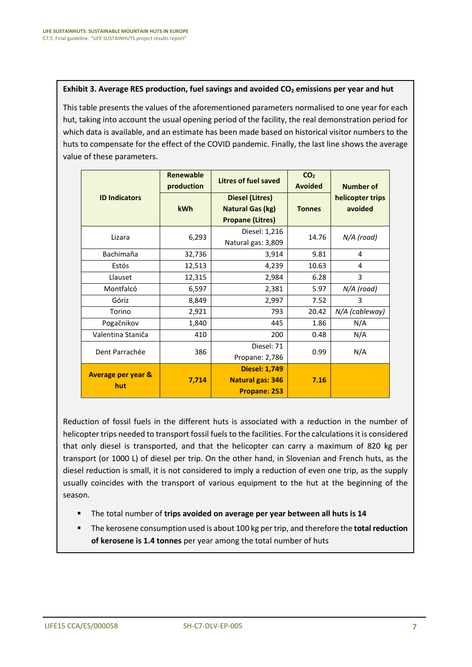### **Exhibit 3. Average RES production, fuel savings and avoided CO<sup>2</sup> emissions per year and hut**

This table presents the values of the aforementioned parameters normalised to one year for each hut, taking into account the usual opening period of the facility, the real demonstration period for which data is available, and an estimate has been made based on historical visitor numbers to the huts to compensate for the effect of the COVID pandemic. Finally, the last line shows the average value of these parameters.

|                                      | <b>Renewable</b><br>production | Litres of fuel saved                                                         | CO <sub>2</sub><br><b>Avoided</b> | <b>Number of</b>            |
|--------------------------------------|--------------------------------|------------------------------------------------------------------------------|-----------------------------------|-----------------------------|
| <b>ID Indicators</b>                 | <b>kWh</b>                     | <b>Diesel (Litres)</b><br><b>Natural Gas (kg)</b><br><b>Propane (Litres)</b> | <b>Tonnes</b>                     | helicopter trips<br>avoided |
| Lizara                               | 6,293                          | Diesel: 1,216<br>Natural gas: 3,809                                          | 14.76                             | N/A (road)                  |
| Bachimaña                            | 32,736                         | 3,914                                                                        | 9.81                              | 4                           |
| Estós                                | 12,513                         | 4,239                                                                        | 10.63                             | 4                           |
| Llauset                              | 12,315                         | 2,984                                                                        | 6.28                              | 3                           |
| Montfalcó                            | 6,597                          | 2,381                                                                        | 5.97                              | N/A (road)                  |
| Góriz                                | 8,849                          | 2,997                                                                        | 7.52                              | 3                           |
| Torino                               | 2,921                          | 793                                                                          | 20.42                             | N/A (cableway)              |
| Pogačnikov                           | 1,840                          | 445                                                                          | 1.86                              | N/A                         |
| Valentina Staniča                    | 410                            | 200                                                                          | 0.48                              | N/A                         |
| Dent Parrachée                       | 386                            | Diesel: 71<br>Propane: 2,786                                                 | 0.99                              | N/A                         |
| <b>Average per year &amp;</b><br>hut | 7,714                          | <b>Diesel: 1,749</b><br><b>Natural gas: 346</b><br>Propane: 253              | 7.16                              |                             |

Reduction of fossil fuels in the different huts is associated with a reduction in the number of helicopter trips needed to transport fossil fuels to the facilities. For the calculations it is considered that only diesel is transported, and that the helicopter can carry a maximum of 820 kg per transport (or 1000 L) of diesel per trip. On the other hand, in Slovenian and French huts, as the diesel reduction is small, it is not considered to imply a reduction of even one trip, as the supply usually coincides with the transport of various equipment to the hut at the beginning of the season.

- The total number of **trips avoided on average per year between all huts is 14**
- The kerosene consumption used is about 100 kg per trip, and therefore the **total reduction of kerosene is 1.4 tonnes** per year among the total number of huts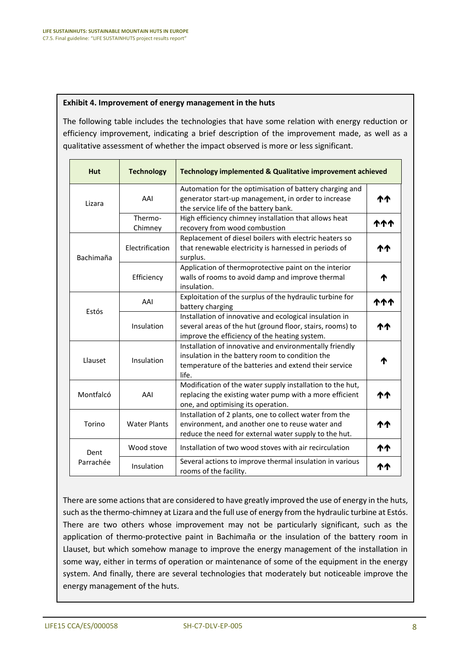### **Exhibit 4. Improvement of energy management in the huts**

The following table includes the technologies that have some relation with energy reduction or efficiency improvement, indicating a brief description of the improvement made, as well as a qualitative assessment of whether the impact observed is more or less significant.

| <b>Hut</b> | <b>Technology</b>   | <b>Technology implemented &amp; Qualitative improvement achieved</b>                                                                                                         |     |
|------------|---------------------|------------------------------------------------------------------------------------------------------------------------------------------------------------------------------|-----|
| Lizara     | AAI                 | Automation for the optimisation of battery charging and<br>generator start-up management, in order to increase<br>the service life of the battery bank.                      |     |
|            | Thermo-<br>Chimney  | High efficiency chimney installation that allows heat<br>recovery from wood combustion                                                                                       | ተተተ |
| Bachimaña  | Electrification     | Replacement of diesel boilers with electric heaters so<br>that renewable electricity is harnessed in periods of<br>surplus.                                                  |     |
|            | Efficiency          | Application of thermoprotective paint on the interior<br>walls of rooms to avoid damp and improve thermal<br>insulation.                                                     | ↑   |
|            | AAI                 | Exploitation of the surplus of the hydraulic turbine for<br>battery charging                                                                                                 |     |
| Estós      | Insulation          | Installation of innovative and ecological insulation in<br>several areas of the hut (ground floor, stairs, rooms) to<br>improve the efficiency of the heating system.        | ተተ  |
| Llauset    | Insulation          | Installation of innovative and environmentally friendly<br>insulation in the battery room to condition the<br>temperature of the batteries and extend their service<br>life. | Ϋ   |
| Montfalcó  | AAI                 | Modification of the water supply installation to the hut,<br>replacing the existing water pump with a more efficient<br>one, and optimising its operation.                   | ተተ  |
| Torino     | <b>Water Plants</b> | Installation of 2 plants, one to collect water from the<br>environment, and another one to reuse water and<br>reduce the need for external water supply to the hut.          | ጥጥ  |
| Dent       | Wood stove          | Installation of two wood stoves with air recirculation                                                                                                                       | ተተ  |
| Parrachée  | Insulation          | Several actions to improve thermal insulation in various<br>rooms of the facility.                                                                                           | ተተ  |

There are some actions that are considered to have greatly improved the use of energy in the huts, such as the thermo-chimney at Lizara and the full use of energy from the hydraulic turbine at Estós. There are two others whose improvement may not be particularly significant, such as the application of thermo-protective paint in Bachimaña or the insulation of the battery room in Llauset, but which somehow manage to improve the energy management of the installation in some way, either in terms of operation or maintenance of some of the equipment in the energy system. And finally, there are several technologies that moderately but noticeable improve the energy management of the huts.